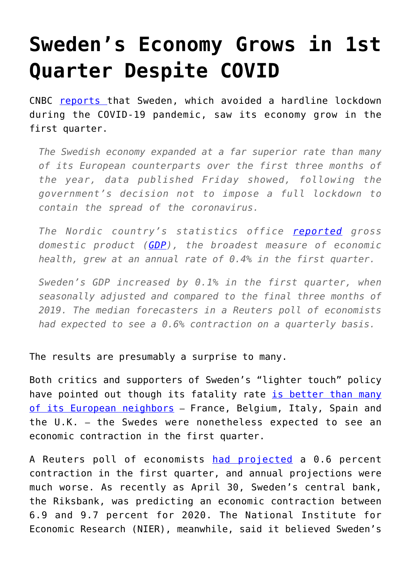## **[Sweden's Economy Grows in 1st](https://intellectualtakeout.org/2020/06/swedens-economy-grows-in-1st-quarter-despite-covid/) [Quarter Despite COVID](https://intellectualtakeout.org/2020/06/swedens-economy-grows-in-1st-quarter-despite-covid/)**

CNBC [reports](https://www.cnbc.com/2020/05/29/coronavirus-swedens-gdp-actually-grew-in-the-first-quarter.html?__source=sharebar%7Cfacebook&par=sharebar) that Sweden, which avoided a hardline lockdown during the COVID-19 pandemic, saw its economy grow in the first quarter.

*The Swedish economy expanded at a far superior rate than many of its European counterparts over the first three months of the year, data published Friday showed, following the government's decision not to impose a full lockdown to contain the spread of the coronavirus.*

*The Nordic country's statistics office [reported](https://www.scb.se/en/finding-statistics/statistics-by-subject-area/national-accounts/national-accounts/national-accounts-quarterly-and-annual-estimates/pong/statistical-news/national-accounts-first-quarter-20202/) gross domestic product ([GDP](https://www.cnbc.com/gdp/)), the broadest measure of economic health, grew at an annual rate of 0.4% in the first quarter.*

*Sweden's GDP increased by 0.1% in the first quarter, when seasonally adjusted and compared to the final three months of 2019. The median forecasters in a Reuters poll of economists had expected to see a 0.6% contraction on a quarterly basis.*

The results are presumably a surprise to many.

Both critics and supporters of Sweden's "lighter touch" policy have pointed out though its fatality rate [is better than many](https://www.worldometers.info/coronavirus/) [of its European neighbors](https://www.worldometers.info/coronavirus/) – France, Belgium, Italy, Spain and the U.K. – the Swedes were nonetheless expected to see an economic contraction in the first quarter.

A Reuters poll of economists [had projected](https://finanz.dk/swedens-gdp-actually-grew-in-the-first-quarter/) a 0.6 percent contraction in the first quarter, and annual projections were much worse. As recently as April 30, Sweden's central bank, the Riksbank, was predicting an economic contraction between 6.9 and 9.7 percent for 2020. The National Institute for Economic Research (NIER), meanwhile, said it believed Sweden's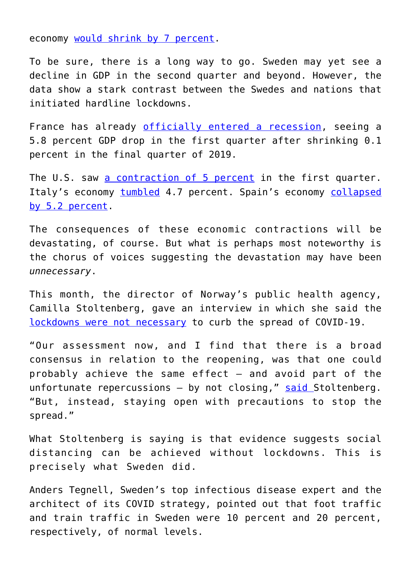economy [would shrink by 7 percent.](https://www.konj.se/publikationer/konjunkturlaget/konjunkturlaget/2020-04-29-uppdatering-av-konjunkturbilden.html)

To be sure, there is a long way to go. Sweden may yet see a decline in GDP in the second quarter and beyond. However, the data show a stark contrast between the Swedes and nations that initiated hardline lockdowns.

France has already [officially entered a recession,](https://www.france24.com/en/20200430-france-enters-recession-as-gdp-falls-by-record-5-8-percent-in-first-quarter) seeing a 5.8 percent GDP drop in the first quarter after shrinking 0.1 percent in the final quarter of 2019.

The U.S. saw [a contraction of 5 percent](https://www.postandcourier.com/us-economy-shrank-at-5-annual-rate-in-q1/article_1e0e94d8-a11f-11ea-9db1-47c049633924.html) in the first quarter. Italy's economy [tumbled](https://www.focus-economics.com/countries/italy/news/gdp/economy-shrinks-at-unprecedented-pace-in-q1-2020) 4.7 percent. Spain's economy [collapsed](https://www.malaymail.com/news/money/2020/04/30/spain-economy-contracts-by-5.2pc-in-q1/1861729) [by 5.2 percent](https://www.malaymail.com/news/money/2020/04/30/spain-economy-contracts-by-5.2pc-in-q1/1861729).

The consequences of these economic contractions will be devastating, of course. But what is perhaps most noteworthy is the chorus of voices suggesting the devastation may have been *unnecessary*.

This month, the director of Norway's public health agency, Camilla Stoltenberg, gave an interview in which she said the [lockdowns were not necessary](https://www.spectator.co.uk/article/norway-health-chief-lockdown-was-not-needed-to-tame-covid) to curb the spread of COVID-19.

"Our assessment now, and I find that there is a broad consensus in relation to the reopening, was that one could probably achieve the same effect – and avoid part of the unfortunate repercussions  $-$  by not closing," [said](https://www.fhi.no/contentassets/c9e459cd7cc24991810a0d28d7803bd0/notat-om-risiko-og-respons-2020-05-05.pdf) Stoltenberg. "But, instead, staying open with precautions to stop the spread."

What Stoltenberg is saying is that evidence suggests social distancing can be achieved without lockdowns. This is precisely what Sweden did.

Anders Tegnell, Sweden's top infectious disease expert and the architect of its COVID strategy, pointed out that foot traffic and train traffic in Sweden were 10 percent and 20 percent, respectively, of normal levels.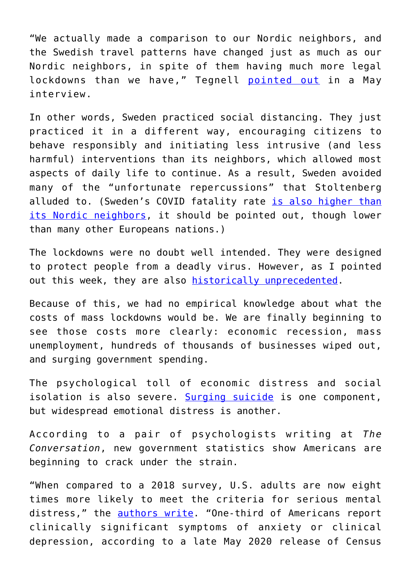"We actually made a comparison to our Nordic neighbors, and the Swedish travel patterns have changed just as much as our Nordic neighbors, in spite of them having much more legal lockdowns than we have," Tegnell [pointed out](https://www.youtube.com/watch?v=2HWfnZLKfQY&fbclid=IwAR3CCRe7Ff76dFIqLRCa9Y6oMgpqH7TEmxMPbodGRhO4dTQpm68u2RMC6PM) in a May interview.

In other words, Sweden practiced social distancing. They just practiced it in a different way, encouraging citizens to behave responsibly and initiating less intrusive (and less harmful) interventions than its neighbors, which allowed most aspects of daily life to continue. As a result, Sweden avoided many of the "unfortunate repercussions" that Stoltenberg alluded to. (Sweden's COVID fatality rate [is also higher than](https://www.worldometers.info/coronavirus/) [its Nordic neighbors,](https://www.worldometers.info/coronavirus/) it should be pointed out, though lower than many other Europeans nations.)

The lockdowns were no doubt well intended. They were designed to protect people from a deadly virus. However, as I pointed out this week, they are also [historically unprecedented.](https://fee.org/articles/epidemiologist-sweden-s-covid-response-isn-t-unorthodox-the-rest-of-the-world-s-is/)

Because of this, we had no empirical knowledge about what the costs of mass lockdowns would be. We are finally beginning to see those costs more clearly: economic recession, mass unemployment, hundreds of thousands of businesses wiped out, and surging government spending.

The psychological toll of economic distress and social isolation is also severe. [Surging suicide](https://fee.org/articles/a-years-worth-of-suicide-attempts-in-four-weeks-the-unintended-consequences-of-covid-19-lockdowns/) is one component, but widespread emotional distress is another.

According to a pair of psychologists writing at *The Conversation*, new government statistics show Americans are beginning to crack under the strain.

"When compared to a 2018 survey, U.S. adults are now eight times more likely to meet the criteria for serious mental distress," the [authors write](https://theconversation.com/flattening-the-mental-health-curve-is-the-next-big-coronavirus-challenge-139066). "One-third of Americans report clinically significant symptoms of anxiety or clinical depression, according to a late May 2020 release of Census